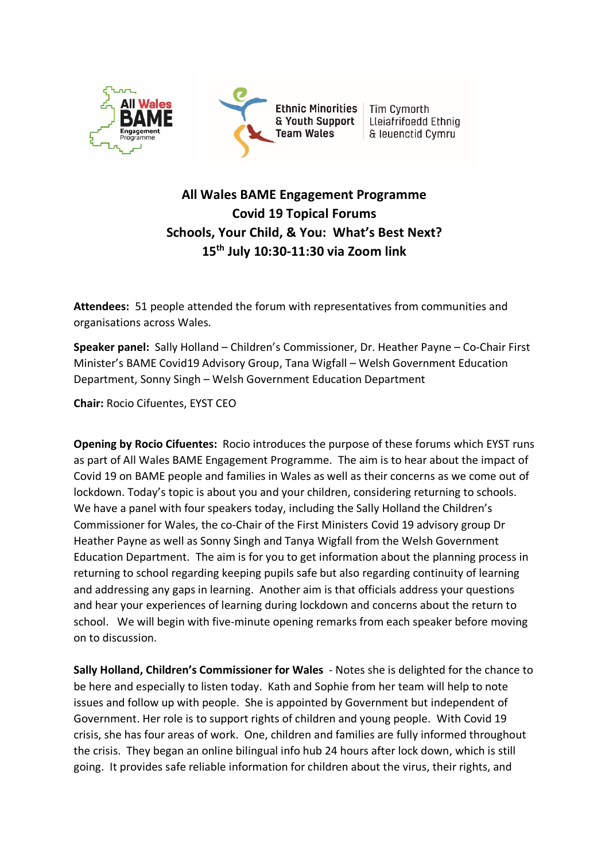

# **All Wales BAME Engagement Programme Covid 19 Topical Forums Schools, Your Child, & You: What's Best Next? 15th July 10:30-11:30 via Zoom link**

**Attendees:** 51 people attended the forum with representatives from communities and organisations across Wales.

**Speaker panel:** Sally Holland – Children's Commissioner, Dr. Heather Payne – Co-Chair First Minister's BAME Covid19 Advisory Group, Tana Wigfall – Welsh Government Education Department, Sonny Singh – Welsh Government Education Department

**Chair:** Rocio Cifuentes, EYST CEO

**Opening by Rocio Cifuentes:** Rocio introduces the purpose of these forums which EYST runs as part of All Wales BAME Engagement Programme. The aim is to hear about the impact of Covid 19 on BAME people and families in Wales as well as their concerns as we come out of lockdown. Today's topic is about you and your children, considering returning to schools. We have a panel with four speakers today, including the Sally Holland the Children's Commissioner for Wales, the co-Chair of the First Ministers Covid 19 advisory group Dr Heather Payne as well as Sonny Singh and Tanya Wigfall from the Welsh Government Education Department. The aim is for you to get information about the planning process in returning to school regarding keeping pupils safe but also regarding continuity of learning and addressing any gaps in learning. Another aim is that officials address your questions and hear your experiences of learning during lockdown and concerns about the return to school. We will begin with five-minute opening remarks from each speaker before moving on to discussion.

**Sally Holland, Children's Commissioner for Wales** - Notes she is delighted for the chance to be here and especially to listen today. Kath and Sophie from her team will help to note issues and follow up with people. She is appointed by Government but independent of Government. Her role is to support rights of children and young people. With Covid 19 crisis, she has four areas of work. One, children and families are fully informed throughout the crisis. They began an online bilingual info hub 24 hours after lock down, which is still going. It provides safe reliable information for children about the virus, their rights, and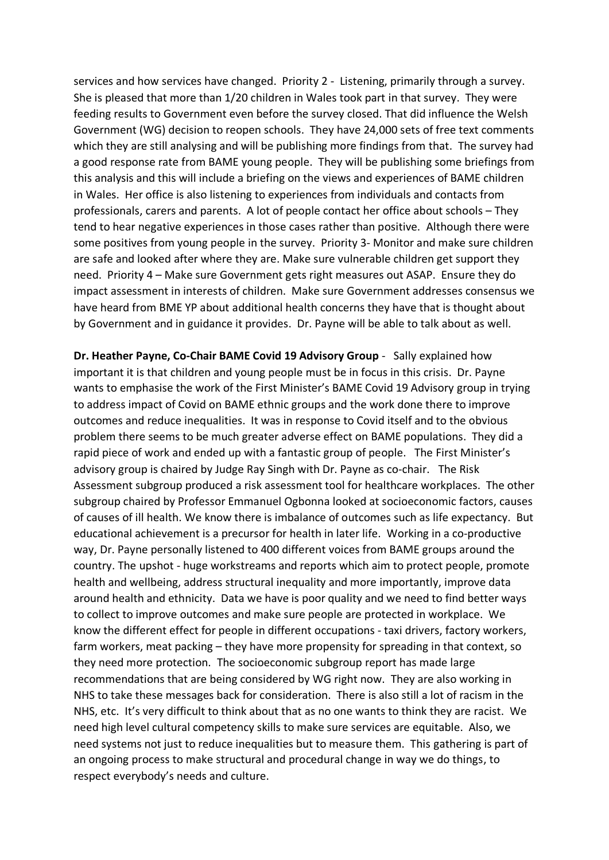services and how services have changed. Priority 2 - Listening, primarily through a survey. She is pleased that more than 1/20 children in Wales took part in that survey. They were feeding results to Government even before the survey closed. That did influence the Welsh Government (WG) decision to reopen schools. They have 24,000 sets of free text comments which they are still analysing and will be publishing more findings from that. The survey had a good response rate from BAME young people. They will be publishing some briefings from this analysis and this will include a briefing on the views and experiences of BAME children in Wales. Her office is also listening to experiences from individuals and contacts from professionals, carers and parents. A lot of people contact her office about schools – They tend to hear negative experiences in those cases rather than positive. Although there were some positives from young people in the survey. Priority 3- Monitor and make sure children are safe and looked after where they are. Make sure vulnerable children get support they need. Priority 4 – Make sure Government gets right measures out ASAP. Ensure they do impact assessment in interests of children. Make sure Government addresses consensus we have heard from BME YP about additional health concerns they have that is thought about by Government and in guidance it provides. Dr. Payne will be able to talk about as well.

**Dr. Heather Payne, Co-Chair BAME Covid 19 Advisory Group** - Sally explained how important it is that children and young people must be in focus in this crisis. Dr. Payne wants to emphasise the work of the First Minister's BAME Covid 19 Advisory group in trying to address impact of Covid on BAME ethnic groups and the work done there to improve outcomes and reduce inequalities. It was in response to Covid itself and to the obvious problem there seems to be much greater adverse effect on BAME populations. They did a rapid piece of work and ended up with a fantastic group of people. The First Minister's advisory group is chaired by Judge Ray Singh with Dr. Payne as co-chair. The Risk Assessment subgroup produced a risk assessment tool for healthcare workplaces. The other subgroup chaired by Professor Emmanuel Ogbonna looked at socioeconomic factors, causes of causes of ill health. We know there is imbalance of outcomes such as life expectancy. But educational achievement is a precursor for health in later life. Working in a co-productive way, Dr. Payne personally listened to 400 different voices from BAME groups around the country. The upshot - huge workstreams and reports which aim to protect people, promote health and wellbeing, address structural inequality and more importantly, improve data around health and ethnicity. Data we have is poor quality and we need to find better ways to collect to improve outcomes and make sure people are protected in workplace. We know the different effect for people in different occupations - taxi drivers, factory workers, farm workers, meat packing – they have more propensity for spreading in that context, so they need more protection. The socioeconomic subgroup report has made large recommendations that are being considered by WG right now. They are also working in NHS to take these messages back for consideration. There is also still a lot of racism in the NHS, etc. It's very difficult to think about that as no one wants to think they are racist. We need high level cultural competency skills to make sure services are equitable. Also, we need systems not just to reduce inequalities but to measure them. This gathering is part of an ongoing process to make structural and procedural change in way we do things, to respect everybody's needs and culture.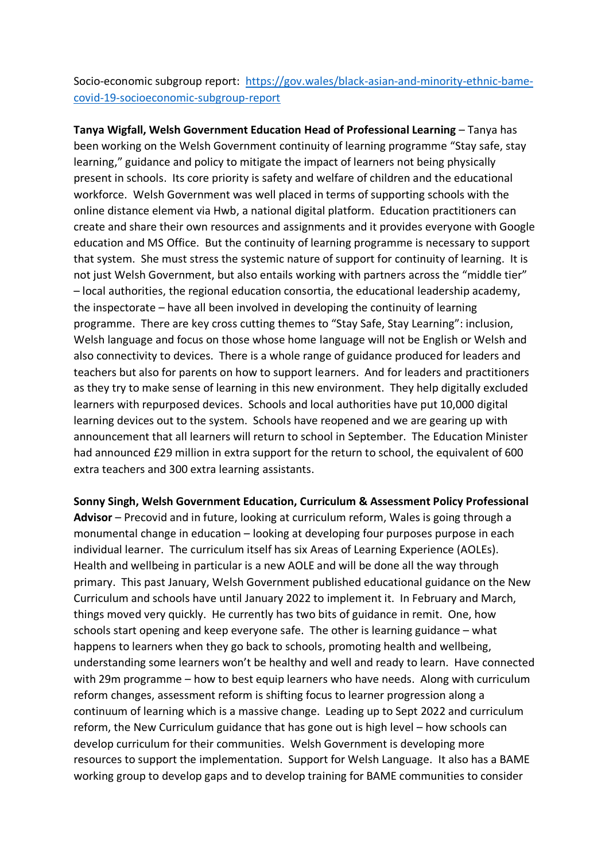Socio-economic subgroup report: [https://gov.wales/black-asian-and-minority-ethnic-bame](https://gov.wales/black-asian-and-minority-ethnic-bame-covid-19-socioeconomic-subgroup-report)[covid-19-socioeconomic-subgroup-report](https://gov.wales/black-asian-and-minority-ethnic-bame-covid-19-socioeconomic-subgroup-report)

**Tanya Wigfall, Welsh Government Education Head of Professional Learning** – Tanya has been working on the Welsh Government continuity of learning programme "Stay safe, stay learning," guidance and policy to mitigate the impact of learners not being physically present in schools. Its core priority is safety and welfare of children and the educational workforce. Welsh Government was well placed in terms of supporting schools with the online distance element via Hwb, a national digital platform. Education practitioners can create and share their own resources and assignments and it provides everyone with Google education and MS Office. But the continuity of learning programme is necessary to support that system. She must stress the systemic nature of support for continuity of learning. It is not just Welsh Government, but also entails working with partners across the "middle tier" – local authorities, the regional education consortia, the educational leadership academy, the inspectorate – have all been involved in developing the continuity of learning programme. There are key cross cutting themes to "Stay Safe, Stay Learning": inclusion, Welsh language and focus on those whose home language will not be English or Welsh and also connectivity to devices. There is a whole range of guidance produced for leaders and teachers but also for parents on how to support learners. And for leaders and practitioners as they try to make sense of learning in this new environment. They help digitally excluded learners with repurposed devices. Schools and local authorities have put 10,000 digital learning devices out to the system. Schools have reopened and we are gearing up with announcement that all learners will return to school in September. The Education Minister had announced £29 million in extra support for the return to school, the equivalent of 600 extra teachers and 300 extra learning assistants.

**Sonny Singh, Welsh Government Education, Curriculum & Assessment Policy Professional Advisor** – Precovid and in future, looking at curriculum reform, Wales is going through a monumental change in education – looking at developing four purposes purpose in each individual learner. The curriculum itself has six Areas of Learning Experience (AOLEs). Health and wellbeing in particular is a new AOLE and will be done all the way through primary. This past January, Welsh Government published educational guidance on the New Curriculum and schools have until January 2022 to implement it. In February and March, things moved very quickly. He currently has two bits of guidance in remit. One, how schools start opening and keep everyone safe. The other is learning guidance – what happens to learners when they go back to schools, promoting health and wellbeing, understanding some learners won't be healthy and well and ready to learn. Have connected with 29m programme – how to best equip learners who have needs. Along with curriculum reform changes, assessment reform is shifting focus to learner progression along a continuum of learning which is a massive change. Leading up to Sept 2022 and curriculum reform, the New Curriculum guidance that has gone out is high level – how schools can develop curriculum for their communities. Welsh Government is developing more resources to support the implementation. Support for Welsh Language. It also has a BAME working group to develop gaps and to develop training for BAME communities to consider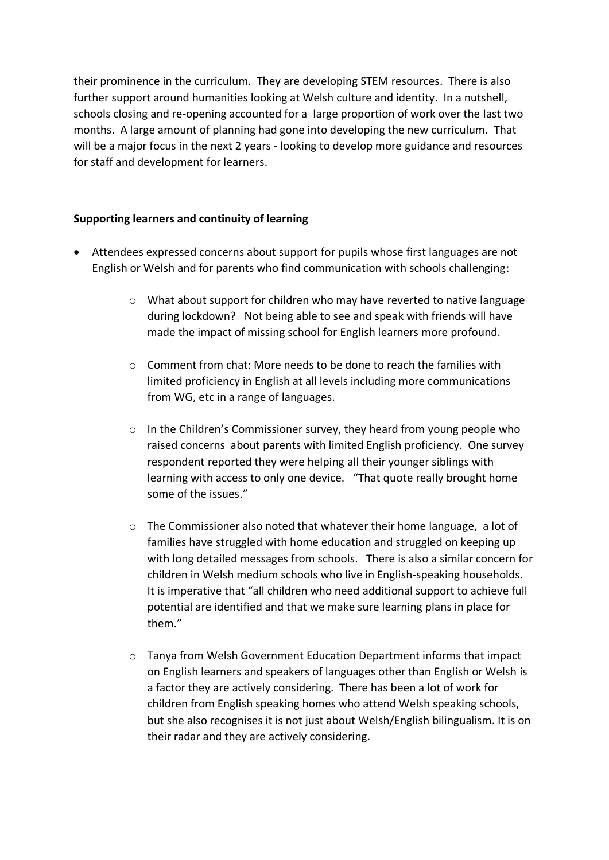their prominence in the curriculum. They are developing STEM resources. There is also further support around humanities looking at Welsh culture and identity. In a nutshell, schools closing and re-opening accounted for a large proportion of work over the last two months. A large amount of planning had gone into developing the new curriculum. That will be a major focus in the next 2 years - looking to develop more guidance and resources for staff and development for learners.

#### **Supporting learners and continuity of learning**

- Attendees expressed concerns about support for pupils whose first languages are not English or Welsh and for parents who find communication with schools challenging:
	- $\circ$  What about support for children who may have reverted to native language during lockdown? Not being able to see and speak with friends will have made the impact of missing school for English learners more profound.
	- $\circ$  Comment from chat: More needs to be done to reach the families with limited proficiency in English at all levels including more communications from WG, etc in a range of languages.
	- o In the Children's Commissioner survey, they heard from young people who raised concerns about parents with limited English proficiency. One survey respondent reported they were helping all their younger siblings with learning with access to only one device. "That quote really brought home some of the issues."
	- $\circ$  The Commissioner also noted that whatever their home language, a lot of families have struggled with home education and struggled on keeping up with long detailed messages from schools. There is also a similar concern for children in Welsh medium schools who live in English-speaking households. It is imperative that "all children who need additional support to achieve full potential are identified and that we make sure learning plans in place for them."
	- $\circ$  Tanya from Welsh Government Education Department informs that impact on English learners and speakers of languages other than English or Welsh is a factor they are actively considering. There has been a lot of work for children from English speaking homes who attend Welsh speaking schools, but she also recognises it is not just about Welsh/English bilingualism. It is on their radar and they are actively considering.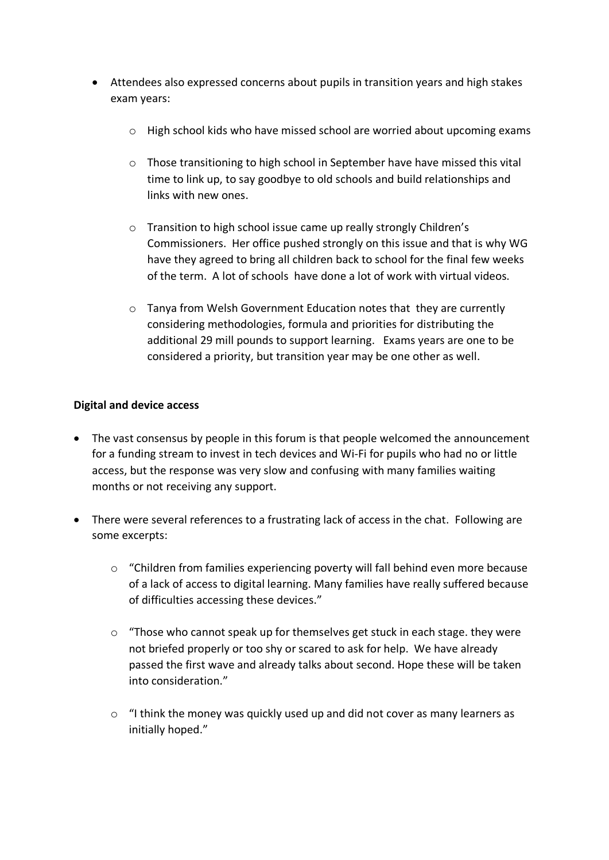- Attendees also expressed concerns about pupils in transition years and high stakes exam years:
	- $\circ$  High school kids who have missed school are worried about upcoming exams
	- o Those transitioning to high school in September have have missed this vital time to link up, to say goodbye to old schools and build relationships and links with new ones.
	- o Transition to high school issue came up really strongly Children's Commissioners. Her office pushed strongly on this issue and that is why WG have they agreed to bring all children back to school for the final few weeks of the term. A lot of schools have done a lot of work with virtual videos.
	- o Tanya from Welsh Government Education notes that they are currently considering methodologies, formula and priorities for distributing the additional 29 mill pounds to support learning. Exams years are one to be considered a priority, but transition year may be one other as well.

### **Digital and device access**

- The vast consensus by people in this forum is that people welcomed the announcement for a funding stream to invest in tech devices and Wi-Fi for pupils who had no or little access, but the response was very slow and confusing with many families waiting months or not receiving any support.
- There were several references to a frustrating lack of access in the chat. Following are some excerpts:
	- o "Children from families experiencing poverty will fall behind even more because of a lack of access to digital learning. Many families have really suffered because of difficulties accessing these devices."
	- $\circ$  "Those who cannot speak up for themselves get stuck in each stage. they were not briefed properly or too shy or scared to ask for help. We have already passed the first wave and already talks about second. Hope these will be taken into consideration."
	- $\circ$  "I think the money was quickly used up and did not cover as many learners as initially hoped."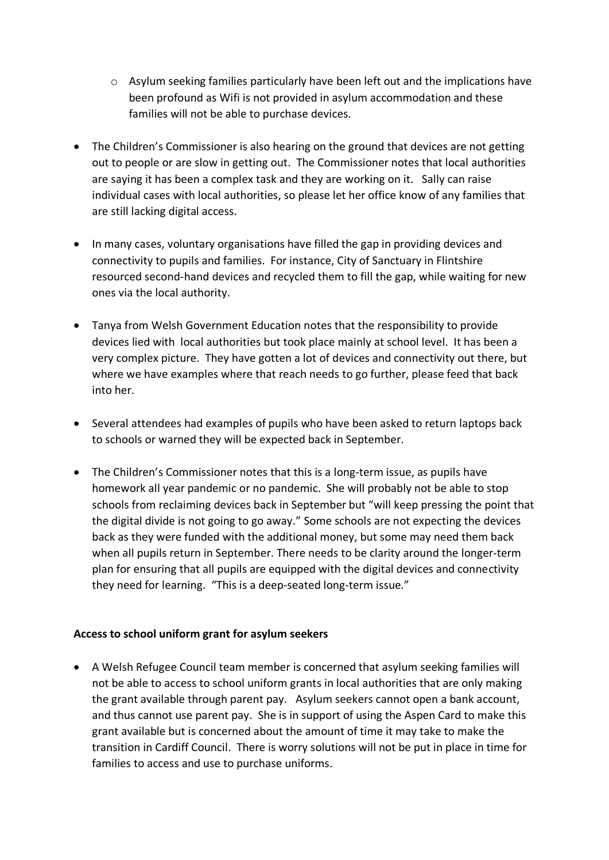- $\circ$  Asylum seeking families particularly have been left out and the implications have been profound as Wifi is not provided in asylum accommodation and these families will not be able to purchase devices.
- The Children's Commissioner is also hearing on the ground that devices are not getting out to people or are slow in getting out. The Commissioner notes that local authorities are saying it has been a complex task and they are working on it. Sally can raise individual cases with local authorities, so please let her office know of any families that are still lacking digital access.
- In many cases, voluntary organisations have filled the gap in providing devices and connectivity to pupils and families. For instance, City of Sanctuary in Flintshire resourced second-hand devices and recycled them to fill the gap, while waiting for new ones via the local authority.
- Tanya from Welsh Government Education notes that the responsibility to provide devices lied with local authorities but took place mainly at school level. It has been a very complex picture. They have gotten a lot of devices and connectivity out there, but where we have examples where that reach needs to go further, please feed that back into her.
- Several attendees had examples of pupils who have been asked to return laptops back to schools or warned they will be expected back in September.
- The Children's Commissioner notes that this is a long-term issue, as pupils have homework all year pandemic or no pandemic. She will probably not be able to stop schools from reclaiming devices back in September but "will keep pressing the point that the digital divide is not going to go away." Some schools are not expecting the devices back as they were funded with the additional money, but some may need them back when all pupils return in September. There needs to be clarity around the longer-term plan for ensuring that all pupils are equipped with the digital devices and connectivity they need for learning. "This is a deep-seated long-term issue."

#### **Access to school uniform grant for asylum seekers**

• A Welsh Refugee Council team member is concerned that asylum seeking families will not be able to access to school uniform grants in local authorities that are only making the grant available through parent pay. Asylum seekers cannot open a bank account, and thus cannot use parent pay. She is in support of using the Aspen Card to make this grant available but is concerned about the amount of time it may take to make the transition in Cardiff Council. There is worry solutions will not be put in place in time for families to access and use to purchase uniforms.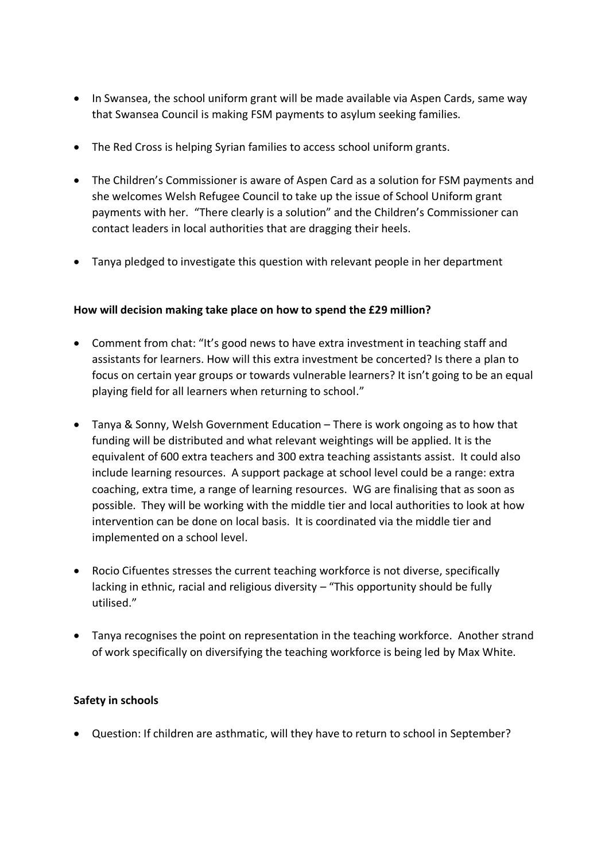- In Swansea, the school uniform grant will be made available via Aspen Cards, same way that Swansea Council is making FSM payments to asylum seeking families.
- The Red Cross is helping Syrian families to access school uniform grants.
- The Children's Commissioner is aware of Aspen Card as a solution for FSM payments and she welcomes Welsh Refugee Council to take up the issue of School Uniform grant payments with her. "There clearly is a solution" and the Children's Commissioner can contact leaders in local authorities that are dragging their heels.
- Tanya pledged to investigate this question with relevant people in her department

#### **How will decision making take place on how to spend the £29 million?**

- Comment from chat: "It's good news to have extra investment in teaching staff and assistants for learners. How will this extra investment be concerted? Is there a plan to focus on certain year groups or towards vulnerable learners? It isn't going to be an equal playing field for all learners when returning to school."
- Tanya & Sonny, Welsh Government Education There is work ongoing as to how that funding will be distributed and what relevant weightings will be applied. It is the equivalent of 600 extra teachers and 300 extra teaching assistants assist. It could also include learning resources. A support package at school level could be a range: extra coaching, extra time, a range of learning resources. WG are finalising that as soon as possible. They will be working with the middle tier and local authorities to look at how intervention can be done on local basis. It is coordinated via the middle tier and implemented on a school level.
- Rocio Cifuentes stresses the current teaching workforce is not diverse, specifically lacking in ethnic, racial and religious diversity – "This opportunity should be fully utilised."
- Tanya recognises the point on representation in the teaching workforce. Another strand of work specifically on diversifying the teaching workforce is being led by Max White.

#### **Safety in schools**

• Question: If children are asthmatic, will they have to return to school in September?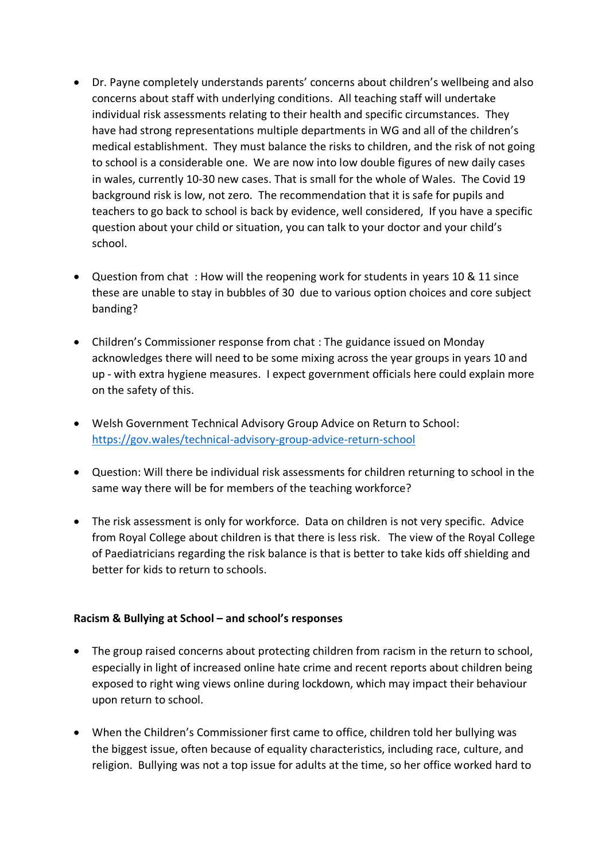- Dr. Payne completely understands parents' concerns about children's wellbeing and also concerns about staff with underlying conditions. All teaching staff will undertake individual risk assessments relating to their health and specific circumstances. They have had strong representations multiple departments in WG and all of the children's medical establishment. They must balance the risks to children, and the risk of not going to school is a considerable one. We are now into low double figures of new daily cases in wales, currently 10-30 new cases. That is small for the whole of Wales. The Covid 19 background risk is low, not zero. The recommendation that it is safe for pupils and teachers to go back to school is back by evidence, well considered, If you have a specific question about your child or situation, you can talk to your doctor and your child's school.
- Question from chat : How will the reopening work for students in years 10 & 11 since these are unable to stay in bubbles of 30 due to various option choices and core subject banding?
- Children's Commissioner response from chat : The guidance issued on Monday acknowledges there will need to be some mixing across the year groups in years 10 and up - with extra hygiene measures. I expect government officials here could explain more on the safety of this.
- Welsh Government Technical Advisory Group Advice on Return to School: <https://gov.wales/technical-advisory-group-advice-return-school>
- Question: Will there be individual risk assessments for children returning to school in the same way there will be for members of the teaching workforce?
- The risk assessment is only for workforce. Data on children is not very specific. Advice from Royal College about children is that there is less risk. The view of the Royal College of Paediatricians regarding the risk balance is that is better to take kids off shielding and better for kids to return to schools.

#### **Racism & Bullying at School – and school's responses**

- The group raised concerns about protecting children from racism in the return to school, especially in light of increased online hate crime and recent reports about children being exposed to right wing views online during lockdown, which may impact their behaviour upon return to school.
- When the Children's Commissioner first came to office, children told her bullying was the biggest issue, often because of equality characteristics, including race, culture, and religion. Bullying was not a top issue for adults at the time, so her office worked hard to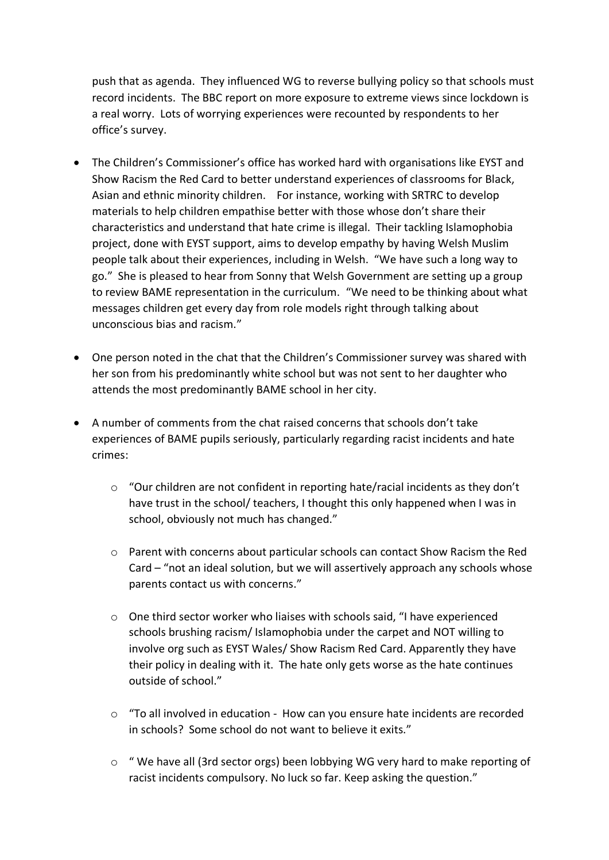push that as agenda. They influenced WG to reverse bullying policy so that schools must record incidents. The BBC report on more exposure to extreme views since lockdown is a real worry. Lots of worrying experiences were recounted by respondents to her office's survey.

- The Children's Commissioner's office has worked hard with organisations like EYST and Show Racism the Red Card to better understand experiences of classrooms for Black, Asian and ethnic minority children. For instance, working with SRTRC to develop materials to help children empathise better with those whose don't share their characteristics and understand that hate crime is illegal. Their tackling Islamophobia project, done with EYST support, aims to develop empathy by having Welsh Muslim people talk about their experiences, including in Welsh. "We have such a long way to go." She is pleased to hear from Sonny that Welsh Government are setting up a group to review BAME representation in the curriculum. "We need to be thinking about what messages children get every day from role models right through talking about unconscious bias and racism."
- One person noted in the chat that the Children's Commissioner survey was shared with her son from his predominantly white school but was not sent to her daughter who attends the most predominantly BAME school in her city.
- A number of comments from the chat raised concerns that schools don't take experiences of BAME pupils seriously, particularly regarding racist incidents and hate crimes:
	- $\circ$  "Our children are not confident in reporting hate/racial incidents as they don't have trust in the school/ teachers, I thought this only happened when I was in school, obviously not much has changed."
	- o Parent with concerns about particular schools can contact Show Racism the Red Card – "not an ideal solution, but we will assertively approach any schools whose parents contact us with concerns."
	- $\circ$  One third sector worker who liaises with schools said, "I have experienced schools brushing racism/ Islamophobia under the carpet and NOT willing to involve org such as EYST Wales/ Show Racism Red Card. Apparently they have their policy in dealing with it. The hate only gets worse as the hate continues outside of school."
	- $\circ$  "To all involved in education How can you ensure hate incidents are recorded in schools? Some school do not want to believe it exits."
	- o " We have all (3rd sector orgs) been lobbying WG very hard to make reporting of racist incidents compulsory. No luck so far. Keep asking the question."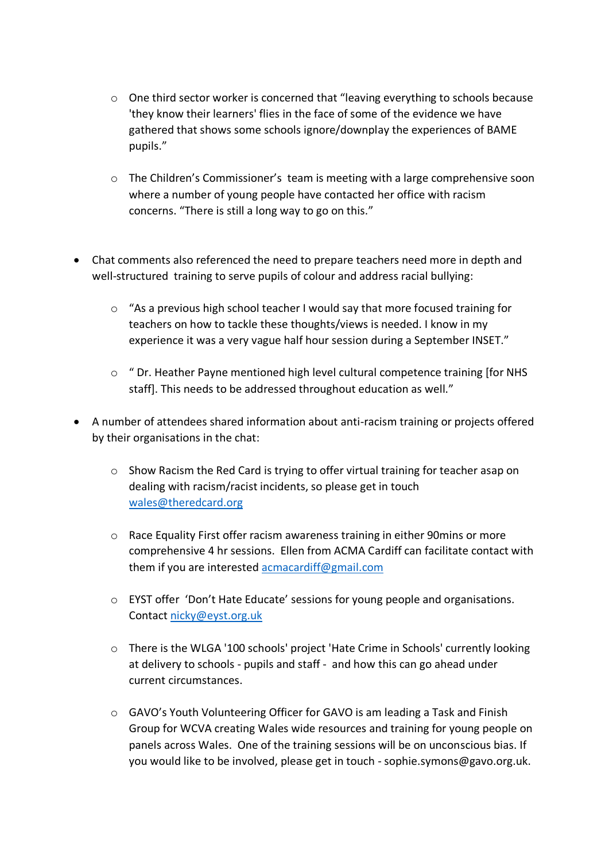- $\circ$  One third sector worker is concerned that "leaving everything to schools because 'they know their learners' flies in the face of some of the evidence we have gathered that shows some schools ignore/downplay the experiences of BAME pupils."
- o The Children's Commissioner's team is meeting with a large comprehensive soon where a number of young people have contacted her office with racism concerns. "There is still a long way to go on this."
- Chat comments also referenced the need to prepare teachers need more in depth and well-structured training to serve pupils of colour and address racial bullying:
	- $\circ$  "As a previous high school teacher I would say that more focused training for teachers on how to tackle these thoughts/views is needed. I know in my experience it was a very vague half hour session during a September INSET."
	- $\circ$  " Dr. Heather Payne mentioned high level cultural competence training [for NHS staff]. This needs to be addressed throughout education as well."
- A number of attendees shared information about anti-racism training or projects offered by their organisations in the chat:
	- o Show Racism the Red Card is trying to offer virtual training for teacher asap on dealing with racism/racist incidents, so please get in touch [wales@theredcard.org](mailto:wales@theredcard.org)
	- o Race Equality First offer racism awareness training in either 90mins or more comprehensive 4 hr sessions. Ellen from ACMA Cardiff can facilitate contact with them if you are interested [acmacardiff@gmail.com](mailto:acmacardiff@gmail.com)
	- o EYST offer 'Don't Hate Educate' sessions for young people and organisations. Contact [nicky@eyst.org.uk](mailto:nicky@eyst.org.uk)
	- o There is the WLGA '100 schools' project 'Hate Crime in Schools' currently looking at delivery to schools - pupils and staff - and how this can go ahead under current circumstances.
	- o GAVO's Youth Volunteering Officer for GAVO is am leading a Task and Finish Group for WCVA creating Wales wide resources and training for young people on panels across Wales. One of the training sessions will be on unconscious bias. If you would like to be involved, please get in touch - sophie.symons@gavo.org.uk.